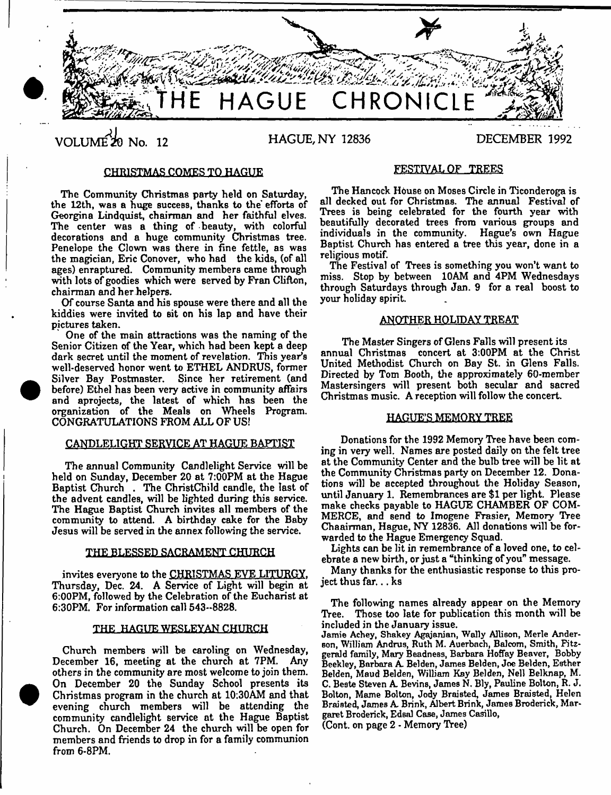

VOLUME<sup> $\chi$ </sup> No. 12 HAGUE, NY 12836 DECEMBER 1992

# CHRISTMAS COMES TO HAGUE

The Community Christmas party held on Saturday, the 12th, was a huge success, thanks to the' efforts of Georgina Lindquist, chairman and her faithful elves. The center was a thing of beauty, with colorful decorations and a huge community Christmas tree. Penelope the Clown was there in fine fettle, as was the magician, Eric Conover, who had the kids, (of all ages) enraptured. Community members came through with lots of goodies which were served by Fran Clifton, chairman and her helpers.

Of course Santa and his spouse were there and all the kiddies were invited to sit on his lap and have their pictures taken.

One of the main attractions was the naming of the Senior Citizen of the Year, which had been kept a deep dark secret until the moment of revelation. This year's well-deserved honor went to ETHEL ANDRUS, former Silver Bay Postmaster. Since her retirement (and before) Ethel has been very active in community affairs and aprojects, the latest of which has been the organization of the Meals on Wheels Program. CONGRATULATIONS FROM ALL OF US!

# CANDLELIGHT SERVICE AT HAGUE BAPTIST

The annual Community Candlelight Service will be held on Sunday, December 20 at 7:00PM at the Hague Baptist Church . The ChristChild candle, the last of the advent candles, will be lighted during this service. The Hague Baptist Church invites all members of the community to attend. A birthday cake for the Baby Jesus will be served in the annex following the service.

### THE BLESSED SACRAMENT CHURCH

invites everyone to the CHRISTMAS EVE LITURGY. Thursday, Dec. 24. A Service of Light will begin at 6:00PM, followed by the Celebration of the Eucharist at 6:30PM. For information call 543-8828.

### THE HAGUE WESLEYAN CHURCH

Church members will be caroling on Wednesday, December 16, meeting at the church at 7PM. Any others in the community are most welcome to join them. On December 20 the Sunday School presents its Christmas program in the church at 10:30AM and that evening church members will be attending the community candlelight service at the Hague Baptist Church. On December 24 the church will be open for members and friends to drop in for a family communion from 6-8PM.

# FESTIVAL OF TREES

The Hancock House on Moses Circle in Ticonderoga is all decked out for Christmas. The annual Festival of Trees is being celebrated for the fourth year with beautifully decorated trees from various groups and individuals in the community. Hague's own Hague Baptist Church has entered a tree this year, done in a religious motif.

The Festival of Trees is something you won't want to miss. Stop by between 10AM and 4PM Wednesdays through Saturdays through Jan. 9 for a real boost to your holiday spirit.

## ANOTHER HOLIDAY TREAT

The Master Singers of Glens Falls will present its annual Christmas concert at 3:00PM at the Christ United Methodist Church on Bay St. in Glens Falls. Directed by Tom Booth, the approximately 60-member Mastersingers will present both secular and sacred Christmas music. A reception will follow the concert.

# HAGUE'S MEMORY TREE

Donations for the 1992 Memory Tree have been coming in very well. Names are posted daily on the felt tree at the Community Center and the bulb tree will be lit at the Community Christmas party on December 12. Donations will be accepted throughout the Holiday Season, until January 1. Remembrances are \$1 per light. Please make checks payable to HAGUE CHAMBER OF COM-MERCE, and send to Imogene Frasier, Memory Tree Chaairman, Hague, NY 12836. All donations will be forwarded to the Hague Emergency Squad.

Lights can be lit in remembrance of a loved one, to celebrate a new birth, or just a "thinking of you" message.

Many thanks for the enthusiastic response to this project thus far... ks

The following names already appear on the Memory Tree. Those too late for publication this month will be included in the January issue.

Jamie Achey, Shakey Agajanian, Wally Allison, Merle Ander-Bon, William Andrus, Ruth M. Auerbach, Balcom, Smith, Fitzgerald family, Mary Beadness, Barbara Hoffay Beaver, Bobby Beekley, Barbara A Belden, James Belden, Joe Belden, Esther Belden, Maud Belden, William Kay Belden, Nell Belknap, M. C. Beste Steven A Bevins, James N, Bly, Pauline Bolton, R. J. Bolton, Marne Bolton, Jody Braisted, James Braisted, Helen Braisted, James A Brink, Albert Brink, James Broderick, Margaret Broderick, Edsal Case, James Casillo,

(Cont. on page 2 - Memory Tree)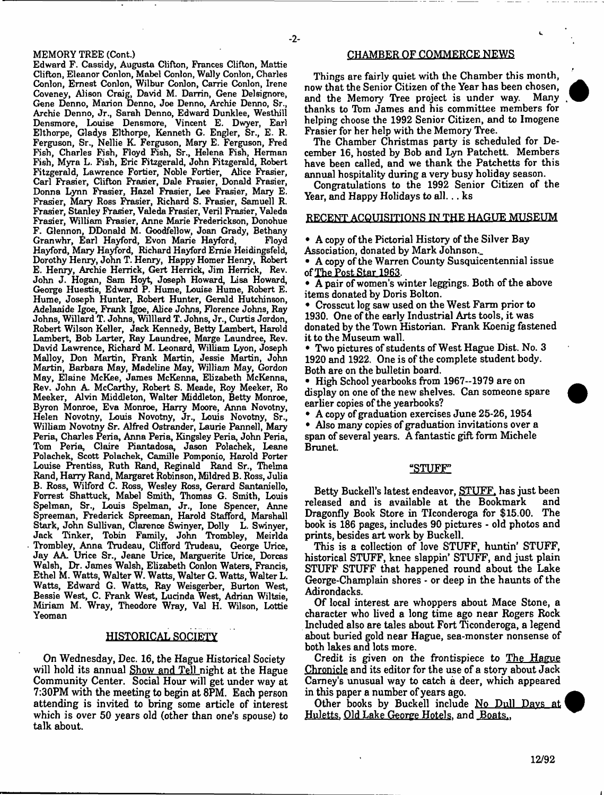## MEMORY TREE (Cont.)

Edward F. Cassidy, Augusta Clifton, Frances Clifton, Mattie Clifton, Eleanor Conlon, Mabel Conlon, Wally Conlon, Charles Conlon, Ernest Conlon, Wilbur Conlon, Carrie Conlon, Irene Coveney, Alison Craig, David M. Darrin, Gene Delsignore, Gene Denno, Marion Denno, Joe Denno, Archie Denno, Sr., Archie Denno, Jr., Sarah Denno, Edward Dunklee, Westhill Densmore, Louise Densmore, Vincent E. Dwyer, Earl Elthorpe, Gladys Elthorpe, Kenneth G. Engler, Sr., E. R. Ferguson, Sr., Nellie K. Ferguson, Mary E. Ferguson, Fred Fish, Charles Fish, Floyd Fish, Sr., Helena Fish, Herman Fish, Myra L. Fish, Eric Fitzgerald, John Fitzgerald, Robert Fitzgerald, Lawrence Fortier, Noble Fortier, Alice Frasier, Carl Frasier, Clifton Frasier, Dale Frasier, Donald Frasier, Donna Lynn Frasier, Hazel Frasier, Lee Frasier, Mary E. Frasier, Mary Ross Frasier, Richard S. Frasier, Samuell R. Frasier, Stanley Frasier, Valeda Frasier, Veril Frasier, Valeda Frasier, William Frasier, Anne Marie Frederickson, Donohue F. Glennon, DDonald M. Goodfellow, Joan Grady, Bethany Granwhr, Earl Hayford, Evon Marie Hayford, Hayford, Mary Hayford, Richard Hayford Ernie Heidingsfeld, Dorothy Henry, John T. Henry, Happy Homer Henry, Robert E. Henry, Archie Herrick, Gert Herrick, Jim Herrick, Rev. John J. Hogan, Sam Hoyt, Joseph Howard, Lisa Howard, George Huestis, Edward P. Hume, Louise Hume, Robert E. Hume, Joseph Hunter, Robert Hunter, Gerald Hutchinson, Adelaaide Igoe, Frank Igoe, Alice Johns, Florence Johns, Ray Johns, Willard T. Johns, Williard T. Johns, Jr., Curtis Jordon, Robert Wilson Keller, Jack Kennedy, Betty Lambert, Harold Lambert, Bob Larter, Ray Laundree, Marge Laundree, Rev. David Lawrence, Richard M. Leonard, William Lyon, Joseph Malloy, Don Martin, Frank Martin, Jessie Martin, John Martin, Barbara May, Madeline May, William May, Gordon May, Elaine McKee, James McKenna, Elizabeth McKenna, Rev. John A. McCarthy, Robert S. Meade, Roy Meeker, Ro Meeker, Alvin Middleton, Walter Middleton, Betty Monroe, Byron Monroe, Eva Monroe, Harry Moore, Anna Novotny, Helen Novotny, Louis Novotny, Jr., Louis Novotny, Sr., William Novotny Sr. Alfred Ostrander, Laurie Pannell, Mary Peria, Charles Peria, Anna Peria, Kingsley Peria, John Peria, Tom Peria, Claire Piantadosa, Jason Polachek, Leane Polachek, Scott Polachek, Camille Pomponio, Harold Porter Louise Prentiss, Ruth Rand, Reginald Rand Sr., Thelma Rand, Harry Rand, Margaret Robinson, Mildred B. Ross, Julia B. Ross, Wilford C. Ross, Wesley Ross, Gerard Santaniello, Forrest Shattuck, Mabel Smith, Thomas G. Smith, Louis Spelman, Sr., Louis Spelman, Jr., lone Spencer, Anne Spreeman, Frederick Spreeman, Harold Stafford, Marshall Stark, John Sullivan, Clarence Swinyer, Dolly L. Swinyer, Jack Tinker, Tobin Family, John Trombley, Meirlda Trombley, Anna Trudeau, Clifford Trudeau, George Urice, Jay AA. Urice Sr., Jeane Urice, Marguerite Urice, Dorcas Walsh, Dr, James Walsh, Elizabeth Conlon Waters, Francis, Ethel M. Watts, Walter W. Watts, Walter G. Watts, Walter L. Watts, Edward G. Watts, Ray Weisgerber, Burton West, Bessie West, C. Frank West, Lucinda West, Adrian Wiltsie, Miriam M. Wray, Theodore Wray, Val H. Wilson, Lottie Yeoman

## HISTORICAL SOCIETY

On Wednesday, Dec. 16, the Hague Historical Society will hold its annual Show and Tell night at the Hague Community Center. Social Hour will get under way at 7:30PM with the meeting to begin at 8PM, Each person attending is invited to bring some article of interest which is over 50 years old (other than one's spouse) to talk about.

### CHAMBER OF COMMERCE NEWS

Things are fairly quiet with the Chamber this month, now that the Senior Citizen of the Year has been chosen, and the Memory Tree project is under way. thanks to Tbm James and his committee members for helping choose the 1992 Senior Citizen, and to Imogene Frasier for her help with the Memory Tree.

The Chamber Christmas party is scheduled for December 16, hosted by Bob and Lyn Patchett. Members have been called, and we thank the Patchetts for this annual hospitality during a very busy holiday season.

Congratulations to the 1992 Senior Citizen of the Year, and Happy Holidays to all... ks

# RECENT ACQUISITIONS IN THE HAGUE MUSEUM

• A copy of the Pictorial History of the Silver Bay Association, donated by Mark Johnson.

• A copy of the Warren County Susquicentennial issue of The Post Star 1963.

• A pair of women's winter leggings. Both of the above items donated by Doris Bolton.

• Crosscut log saw used on the West Farm prior to 1930. One of the early Industrial Arts tools, it was donated by the Town Historian. Frank Koenig fastened it to the Museum wall.

• Two pictures of students of West Hague Dist. No. 3 1920 and 1922. One is of the complete student body. Both are on the bulletin board.

• High School yearbooks from 1967-1979 are on display on one of the new shelves. Can someone spare earlier copies of the yearbooks?

• A copy of graduation exercises June 25-26,1954

• Also many copies of graduation invitations over a span of several years. A fantastic gift form Michele Brunet.

#### "STUFF"

Betty Buckell's latest endeavor, STUFF, has just been released and is available at the Bookmark and Dragonfly Book Store in TIconderoga for \$15.00. The book is 186 pages, includes 90 pictures - old photos and prints, besides art work by Buckell.

This is a collection of love STUFF, huntin' STUFF, historical STUFF, knee slappin' STUFF, and just plain STUFF STUFF that happened round about the Lake George-Champlain shores - or deep in the haunts of the Adirondacks.

Of local interest are whoppers about Mace Stone, a character who lived a long time ago near Rogers Rock Included also are tales about Fort Ticonderoga, a legend about buried gold near Hague, sea-monster nonsense of both lakes and lots more.

Credit is given on the frontispiece to The Hague Chronicle and its editor for the use of a story about Jack Carney's unusual way to catch a deer, which appeared in this paper a number of years ago.

Other books by Buckell include No Dull Davs at Huletts, Old Lake George Hotels, and Boats..

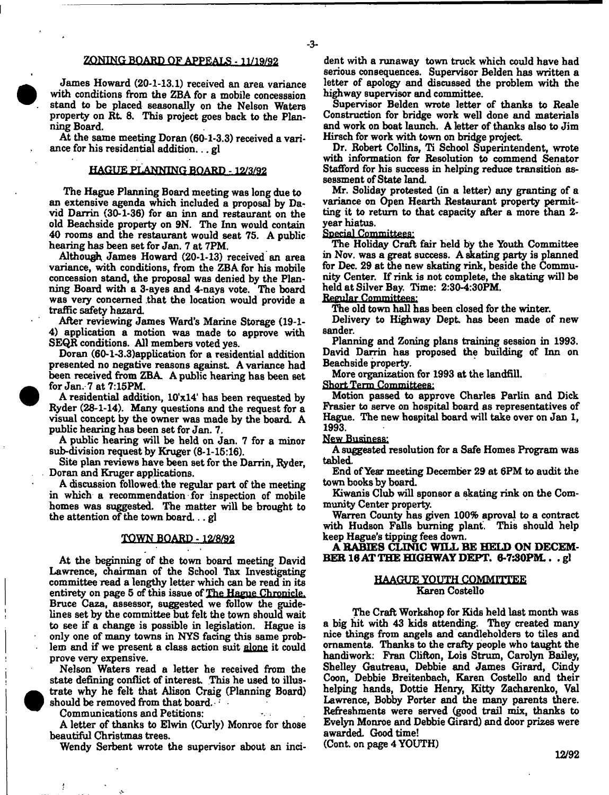## ZONING BOARD OF APPEALS - 11/19/92

James Howard (20-1-13.1) received an area variance with conditions from the ZBA for a mobile concesssion stand to be placed seasonally on the Nelson Waters property on Rt. 8. This project goes back to the Planning Board.

At the same meeting Doran (60-1-3.3) received a variance for his residential addition... gl

# HAGUE PLANNING BOARD -12/3/92

The Hague Planning Board meeting was long due to an extensive agenda which included a proposal by David Darrin (30-1-36) for an inn and restaurant on the old Beach side property on 9N. The Inn would contain 40 rooms and the restaurant would seat 75. A public hearing has been set for Jan. 7 at 7PM.

Although James Howard (20-1-13) received an area variance, with conditions, from the ZBA for his mobile concession stand, the proposal was denied by the Planning Board with a 3-ayes and 4-nays vote. The board was very concerned that the location would provide a traffic safety hazard.

After reviewing James Ward's Marine Storage (19-1- 4) application a motion was made to approve with SEQR conditions. All members voted yes.

Doran (60-l-3.3)application for a residential addition presented no negative reasons against. A variance had been received from ZBA. A public hearing has been set for Jan. 7 at 7:15PM.

A residential addition, 10'xl4' has been requested by Ryder (28-1-14). Many questions and the request for a visual concept by the owner was made by the board. A public hearing has been set for Jan. 7.

A public hearing will be held on Jan. 7 for a minor sub-division request by Kruger (8-1-15:16).

Site plan reviews have been set for the Darrin, Ryder, Doran and Kruger applications.

A discussion followed, the regular part of the meeting in which a recommendation for inspection of mobile homes was suggested. The matter will be brought to the attention of the town board... gl

#### TOWN BOARD -12/8/92

At the beginning of the town board meeting David Lawrence, chairman of the School Tax Investigating committee read a lengthy letter which can be read in its entirety on page 5 of this issue of The Hague Chronicle. Bruce Caza, assessor, suggested we follow the guidelines set by the committee but felt the town should wait to see if a change is possible in legislation. Hague is only one of many towns in NYS facing this same problem and if we present a class action suit alone it could prove very expensive.

Nelson Waters read a letter he received from the state defining conflict of interest. This he used to illustrate why he felt that Alison Craig (Planning Board) should be removed from that board.

Communications and Petitions:

ŧ

A letter of thanks to Elwin (Curly) Monroe for those beautiful Christmas trees.

Wendy Serbent wrote the supervisor about an inci-

dent with a runaway town truck which could have had serious consequences. Supervisor Belden has written a letter of apology and discussed the problem with the highway supervisor and committee.

Supervisor Belden wrote letter of thanks to Reale Construction for bridge work well done and materials and work on boat launch. A letter of thanks also to Jim Hirsch for work with town on bridge project.

Dr. Robert Collins, Ti School Superintendent, wrote with information for Resolution to commend Senator Stafford for his success in helping reduce transition assessment of State land.

Mr. Soliday protested (in a letter) any granting of a variance on Open Hearth Restaurant property permitting it to return to that capacity after a more than 2 year hiatus.

Special Committees;

The Holiday Craft fair held by the Youth Committee in Nov. was a great success. A skating party is planned for Dec. 29 at the new skating rink, beside the Community Center. If rink is not complete, the skating will be held at Silver Bay. Time: 2:30-4:30PM.

Regular Committees;

The old town hall has been closed for the winter.

Delivery to Highway Dept has been made of new sander.

Planning and Zoning plans training session in 1993. David Darrin has proposed the building of Inn on Beach side property.

More organization for 1993 at the landfill.

Short Term Committees:

Motion passed to approve Charles Parlin and Dick Frasier to serve on hospital board as representatives of Hague. The new hospital board will take over on Jan 1, 1993.

New Business;

A suggested resolution for a Safe Homes Program was tabled.

End of Year meeting December 29 at 6PM to audit the town books by board.

Kiwanis Club will sponsor a skating rink on the Community Center property.

Warren County has given 100% aproval to a contract with Hudson Falls burning plant. This should help keep Hague's tipping fees down.

A RABIES CLINIC WILL BE HELD ON DECEM-BER 18 AT THE HIGHWAY DEPT. 6-7:30PM.. .gl

#### HAAGUE YOUTH COMMITTEE Karen Costello

The Craft Workshop for Kids held last month was a big hit with 43 kids attending. They created many nice things from angels and candleholders to tiles and ornaments. Thanks to the crafty people who taught the handiwork: Fran Clifton, Lois Strum, Carolyn Bailey, Shelley Gautreau, Debbie and James Girard, Cindy Coon, Debbie Breitenbach, Karen Costello and their helping hands, Dottie Henry, Kitty Zacharenko, Val Lawrence, Bobby Porter and the many parents there. Refreshments were served (good trail mix, thanks to Evelyn Monroe and Debbie Girard) and door prizes were awarded. Good time! (Cont. on page 4 YOUTH)

12/92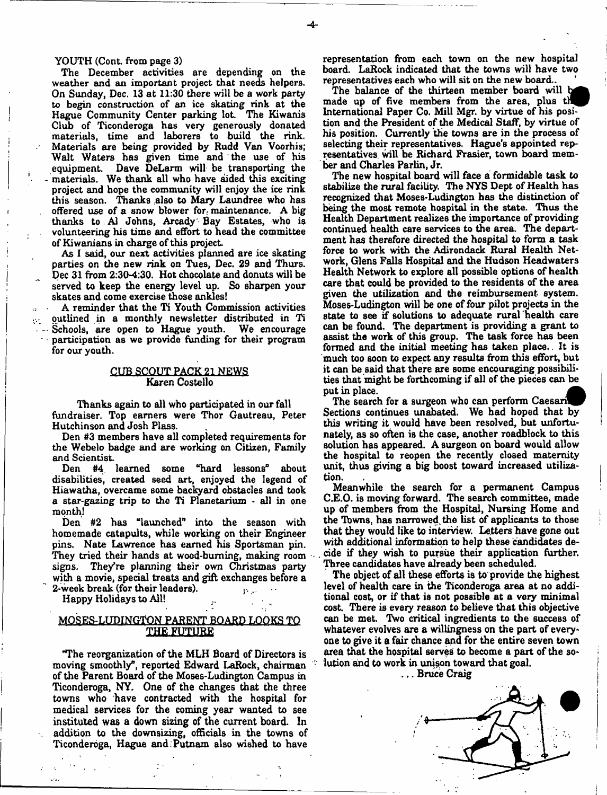YOUTH (Conk from page 3)

The December activities are depending on the weather and an important project that needs helpers. On Sunday, Dec. 13 at 11:30 there will be a work party to begin construction of an ice skating rink at the Hague Community Center parking lot. The Kiwanis Club of Ticonderoga has very generously donated materials, time and laborers to build the rink. Materials are being provided by Rudd Van Voorhis; Wait Waters has given time and the use of his equipment. Dave DeLarm will be transporting the - materials. We thank all who have aided this exciting project and hope the community will enjoy the ice rink this season. Thanks also to Mary Laundree who has offered use of a snow blower for. maintenance. A big thanks to A1 Johns, Arcady Bay Estates, who is volunteering his time and effort to head the committee of Kiwanians in charge of this project

As I said, our next activities planned are ice skating parties on the new rink on Tues, Dec. 29 and Thurs. Dec 31 from 2:30-4:30. Hot chocolate and donuts will be served to keep the energy level up. So sharpen your skates and come exercise those ankles!

A reminder that the Ti Youth Commission activities outlined in a monthly newsletter distributed in Ti Schools, are open to Hague youth. We encourage participation as we provide funding for their program for our youth.

## CUB SCOUT PACK 21 NEWS Karen Costello

Thanks again to all who participated in our fall fundraiser. Top earners were Thor Gautreau, Peter Hutchinson and Josh Plass.

Den #3 members have all completed requirements for the Webelo badge and are working on Citizen, Family and Scientist

#4 learned some "hard lessons" about disabilities, created seed art, enjoyed the legend of Hiawatha, overcame some backyard obstacles and took a star-gazing trip to the Ti Planetarium - all in one month!

Den #2 has "launched" into the season with homemade catapults, while working on their Engineer pins. Nate Lawrence has earned his Sportsman pin. They tried their hands at wood-burning, making room signs. They're planning their own Christmas party with a movie, special treats and gift exchanges before a 2-week break (for their leaders).

Happy Holidays to All!

## MOSES-LUDINGTON PARENT BOARD LOOKS TO XHE.fUTURE

"The reorganization of the MLH Board of Directors is moving smoothly", reported Edward LaRock, chairman of the Parent Board of the Moses-Ludington Campus in Ticonderoga, NY. One of the changes that the three towns who have contracted with the hospital for medical services for the coming year wanted to see instituted was a down sizing of the current board. In addition to the downsizing, officials in the towns of Ticonderoga, Hague and Putnam also wished to have

representation from each town on the new hospital board. LaRock indicated that the towns will have two representatives each who will sit on the new board..

The balance of the thirteen member board will b made up of five members from the area, plus th International Paper Co. Mill Mgr. by virtue of his position and the President of the Medical Staff, by virtue of his position. Currently the towns are in the process of selecting their representatives. Hague's appointed representatives will be Richard Frasier, town board member and Charles Parlin, Jr.

The new hospital board will face a formidable task to stabilize the rural facility. The NYS Dept of Health has recognized that Moses-Ludington has the distinction of being the most remote hospital in the state. Thus the Health Department realizes the importance of providing continued health care services to the area. The department has therefore directed the hospital to form a task force to work with the Adirondack Rural Health Network, Glens Falls Hospital and the Hudson Headwaters Health Network to explore all possible options of health care that could be provided to the residents of the area given the utilization and the reimbursement system. Moses-Ludington will be one of four pilot projects in the state to see if solutions to adequate rural health care can be found. The department is providing a grant to assist the work of this group. The task force has been formed and the initial meeting has taken place.. It is much too soon to expect any results from this effort, but it can be said that there are some encouraging possibilities that might be forthcoming if all of the pieces can be put in place.

The search for a surgeon who can perform Caesari Sections continues unabated. We had hoped that by this writing it would have been resolved, but unfortunately, as so often is the case, another roadblock to this solution has appeared. A surgeon on board would allow the hospital to reopen the recently closed maternity unit, thus giving a big boost toward increased utilization.

Meanwhile the search for a permanent Campus C.E.O. is moving forward. The search committee, made up of members from the Hospital, Nursing Home and the Towns, has narrowed, the list of applicants to those that they would like to interview. Letters have gone out with additional information to help these candidates de- . tide if they wish to pursue their application further. Three candidates have already been scheduled.

The object of all these efforts is to provide the highest level of health care in the Ticonderoga area at no additional cost, or if that is not possible at a very minimal cost. There is every reason to believe that this objective can be met. Two critical ingredients to the success of whatever evolves are a willingness on the part of everyone to give it a fair chance and for the entire seven town area that the hospital serves to become a part of the solution and to work in unison toward that goal.

, . . Bruce Craig

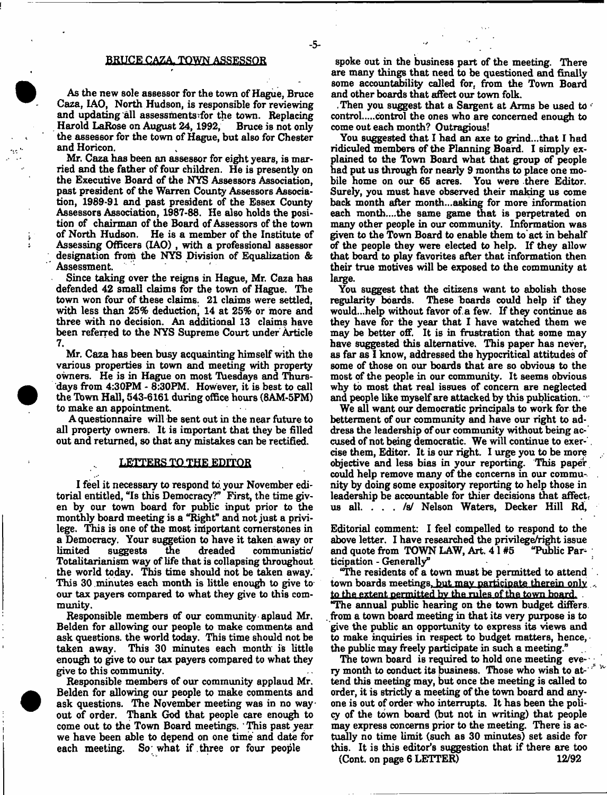#### BRUCE CAZA. TOWN ASSESSOR

- 5-

As the new sole assessor for the town of Hague, Bruce Caza, IAO, North Hudson, is responsible for reviewing and updating all assessments'for the town. Replacing Harold LaRose on August 24,1992, Bruce is not only the assessor for the town of Hague, but also for Chester and Horicon.

Mr. Caza has been an assessor for eight years, is married and the father of four children. He is presently on the Executive Board of the NYS Assessors Association, past president of the Warren County Assessors Association, 1989-91 and past president of the Essex County Assessors Association, 1987-88. He also holds the position of chairman of the Board of Assessors of the town of North Hudson. He is a member of the Institute of Assessing Officers (IAO) , with a professional assessor designation from the NYS Division of Equalization & Assessment.

Since taking over the reigns in Hague, Mr. Caza has defended 42 small claims for the town of Hague. The town won four of these claims. 21 claims were settled, with less than 25% deduction, 14 at 25% or more and three with no decision. An additional 13 claims have been referred to the NYS Supreme Court under Article 7.

Mr. Caza has been busy acquainting himself with the various properties in town and meeting with property owners. He is in Hague on most Tuesdays and Thursdays from 4:30PM - 8:30PM. However, it is best to call the Town Hall, 543-6161 during office hours (8AM-5PM) to make an appointment.

A questionnaire will be sent out in the near future to all property owners. It is important that they be filled out and returned, so that any mistakes can be rectified.

#### LETTERS TO THE EDITOR

I feel it necessary to respond to, your November editorial entitled, "Is this Democracy?" First, the time given by our town board for public input prior to the monthly board meeting is a "Right" and not just a privilege. This is one of the most important cornerstones in a Democracy. Your suggetion to have it taken away or suggests the dreaded communistic Totalitarianism way of life that is collapsing throughout the world today. This time should hot be taken away. This 30 .minutes each month is little enough to give to our tax payers compared to what they give to this community.

Responsible members of our community aplaud Mr. Belden for allowing our people to make comments and ask questions, the world today. This time should not be taken away. This 30 minutes each month is little enough to give to our tax payers compared to what they give to this community.

Responsible members of our community applaud Mr. Belden for allowing our people to make comments and ask questions. The November meeting was in no way  $\cdot$ out of order. Thank God that people care enough to come out to the Town Board meetings. ' This past year we have been able to depend on one time and date for each meeting. So what if three or four people So; what if three or four people

spoke out in the business part of the meeting. There are many things that need to be questioned and finally some accountability called for, from the Town Board and other boards that affect our town folk.

. Then you suggest that a Sargent at Arms be used to  $\epsilon$ control.....control the ones who are concerned enough to come out each month? Outragious!

You suggested that I had an axe to grind...that I had ridiculed members of the Planning Board. I simply explained to the Town Board what that group of people had put us through for nearly 9 months to place one mobile home on our 65 acres. You were there Editor. Surely, you must have observed their making us come back month after month...asking for more information each month....the same game that is perpetrated on many other people in our community. Information was given to the Town Board to enable them to act in behalf of the people they were elected to help. If they allow that board to play favorites after that information then their true motives will be exposed to the community at large.

You suggest that the citizens want to abolish those regularity boards. These boards could help if they would...help without favor of.a few. If they continue as they have for the year that I have watched them we may be better off. It is in frustration that some may have suggested this alternative. This paper has never, as far as I know, addressed the hypocritical attitudes of some of those on our boards that are so obvious to the most of the people in our community. It seems obvious why to most that real issues of concern are neglected and people like myself are attacked by this publication. "

We all want our democratic principals to work for the betterment of our community and have our right to address the leadership of our community without being accused of not being democratic. We will continue to exerrise them, Editor. It is our right. I urge you to be more objective and less bias in your reporting. This paper could help remove many of the concerns in our community by doing some expository reporting to help those in leadership be accountable for thier decisions that affect; us all. . . . /s/ Nelson Waters, Decker Hill Rd,

Editorial comment: I feel compelled to respond to the above letter. I have researched the privilege/right issue and quote from TOWN LAW, Art.  $41#5$  "Public Parand quote from TOWN LAW, Art.  $41#5$ ticipation - Generally"

"The residents of a town must be permitted to attend town boards meetings, but mav participate therein only to the extent permitted bv the rules of the town board. "The annual public hearing on the town budget differs, from a town board meeting in that its very purpose is to give the public an opportunity to express its views and to make inquiries in respect to budget matters, hence, the public may freely participate in such a meeting."

The town board is required to hold one meeting every month to conduct its business. Those who wish to attend this meeting may, but once the meeting is called to order, it is Btrictly a meeting of the town board and anyone is out of order who interrupts. It has been the policy of the town board (but not in writing) that people may express concerns prior to the meeting. There is actually no time limit (such as 30 minutes) set aside for this. It is this editor's suggestion that if there are too (Cont. on page 6 LETTER) 12/92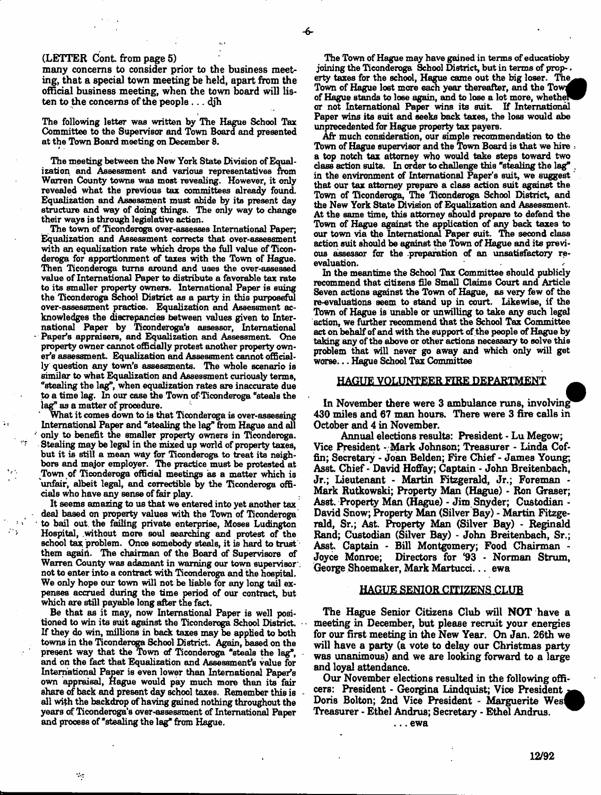#### (LETTER Cont from page 5)

many concerns to consider prior to the business meeting, that a special town meeting be held, apart from the official business meeting, when the town board will listen to the concerns of the people...  $d_j$ h

The following letter was written by The Hague School Tax Committee to the Supervisor and Town Board and presented at the Town Board meeting on December S.

The meeting between the New York State Division of Equalisation and Assessment and various representatives from Warren County towns was most revealing. However, it only revealed what the previous tax committees already found. Equalization and Assessment must abide by its present day structure and way of doing things. The only way to change their ways is through legislative action.

The town of Ticonderoga over-assesses International Paper; Equalization and Assessment corrects that over-assessment with an equalization rate which drops the full value of Ticonderoga for apportionment of taxes with the Town of Hague. Then Ticonderoga turns around and uses the over-assessed value of International Paper to distribute a favorable tax rate to its smaller property owners. International Paper is suing the Ticonderoga School District as a party in this purposeful over-assessment practice. Equalization and Assessment acknowledges the discrepancies between values given to International Paper by Ticonderoga's assessor, International Paper's appraisers, and Equalization and Assessment. One property owner cannot officially protest another property owner's assessm ent Equalization and Assessment cannot officially question any town's assessments. The whole scenario is similar to what Equalization and Assessment curiously terms, "stealing the lag", when equalization rates are inaccurate due to a time lag. In our case the Town of Ticonderoga "steals the lag" as a matter of procedure.

What it comes down to is that Ticonderoga is over-assessing International Paper and "stealing the lag" from Hague and all only to benefit the smaller property owners in Ticonderoga. Stealing may be legal in the mixed up world of property taxes, but it is still a mean way for Ticonderoga to treat its neighbors and major employer. The practice must be protested at Town of Ticonderoga official meetings as a matter which is unfair, albeit legal, and correctible by the Ticonderoga officials who have any sense of fair play.

Ä.

It seems amazing to us that we entered into yet another tax deal based on property values with the Town of Ticonderoga to bail out the failing private enterprise, Moses Ludington Hospital, .without more sou] searching and protest of the school tax problem. Once somebody steals, it is hard to trust them again. The chairman of the Board of Supervisors of Warren County was adamant in warning our town supervisor', not to enter into a contract with Ticonderoga and the hospital. We only hope our town will not be liable for any long tail expenses accrued during the time period of our contract, but which are still payable long after the fact.

Be that as it may, now International Paper is well positioned to win its suit against the Ticonderoga School District. If they do win, millions in back taxes may be applied to both towns in the Ticonderoga School District. Again, based on the present way that the Town of Ticonderoga "steals the lag", and on the fact that Equalization and Assessment's value for International Paper is even lower than International Paper's own appraisal, Hague would pay much more than its fair share of back and present day school taxes. Remember this is all with the backdrop of having gained nothing throughout the years of Ticonderoga's over-assessment of International Paper and process of "stealing the lag" from Hague.

 $\sim$ 

The Town of Hague may have gained in terms of educatioby joining the Ticonderoga School District, but in terms of property taxes for the school, Hague came out the big loser. The Town of Hague lost more each year thereafter, and the Town of Hague stands to loee again, and to lose a lot more, whethe^B or not International Paper wins its suit. If International Paper wins its suit and seeks back taxes, the loss would abe unprecedented for Hague property tax payers.

Afr much consideration, our simple recommendation to the Town of Hague supervisor and the Town Board is that we hire = a top notch tax attorney who would take steps toward two class action suits. In order to challenge this "stealing the lag" . in the environment of International Paper's suit, we suggest that our tax attorney prepare a class action suit against the Town of Ticonderoga, The Ticonderoga School District, and the New York State Division of Equalization and Assessment. At the same time, this attorney should prepare to defend the Town of Hague against the application of any back taxes to our town via the International Paper suit. The second class action suit should be against the Town of Hague and its previous assessor for the .preparation of an unsatisfactory reevaluation.

In the meantime the School Tax Committee should publicly recommend that citizens file Small Claims Court and Article Seven actions against the Town of Hague, as very few of the re-evaluations seem to stand up in court. Likewise, if the Town of Hague is unable or unwilling to take any such legal action, we further recommend that the School Tax Committee act on behalf of and with the support of the people of Hague by taking any of the above or other actions necessary to solve this problem that will never go away and which only will get worse... Hague School Tax Committee

#### HAGUE VOLUNTEER FIRE DEPARTMENT \_

In November there were 3 ambulance runs, involving 430 miles and €7 man hours. There were 3 fire calls in October and 4 in November.

Annual elections results: President - Lu Megow; Vice President - Mark Johnson; Treasurer - Linda Coffin; Secretary - Joan Belden; Fire Chief - James Young; Asst. Chief - David Hoffay; Captain - John Breitenbach, Jr.; Lieutenant - Martin Fitzgerald, Jr.; Foreman - Mark Rutkowski; Property Man (Hague) - Ron Graser; Asst. Property Man (Hague) - Jim Snyder; Custodian - David Snow; Property Man (Silver Bay) - Martin Fitzgerald, Sr.; Ast. Property Man (Silver Bay) - Reginald Rand; Custodian (Silver Bay) - John Breitenbach, Sr.; Asst. Captain \* Bill Montgomery; Food Chairman - Joyce Monroe; Directors for \*93 - Norman Strum, George Shoemaker, Mark Martucci... ewa

#### HAGUE SENIOR CITIZENS CLUB

The Hague Senior Citizens Club will NOT have a meeting in December, but please recruit your energies for our first meeting in the New Year. On Jan. 26th we will have a party (& vote to delay our Christmas party was unanimous) and we are looking forward to a large and loyal attendance.

Our November elections resulted in the following officers: President - Georgina Lindquist; Vice President Doris Bolton; 2nd Vice President - Marguerite West Treasurer - Ethel Andrus; Secretary - Ethel Andrus. . . . ewa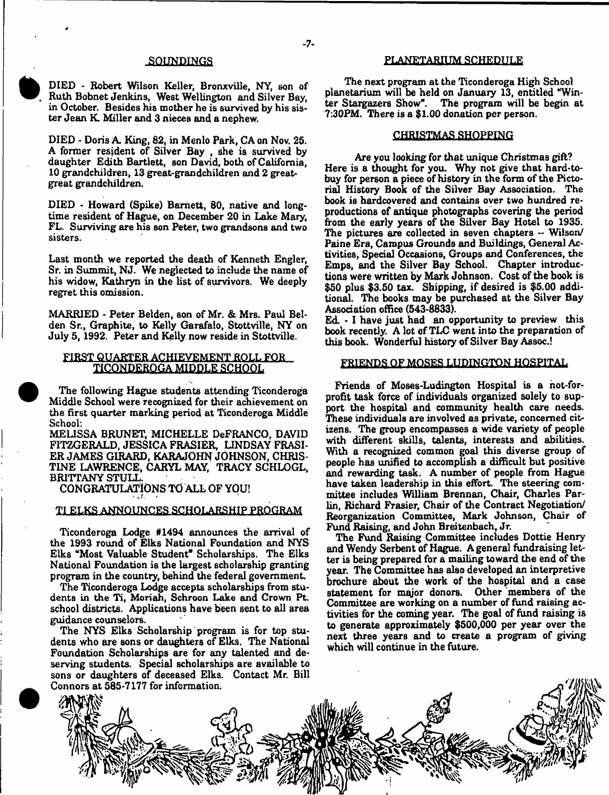### SOUNDINGS

DIED - Robert Wilson Keller, Bronxville, NY, son of Ruth Bobnet Jenkins, West Wellington and Silver Bay, in October. Besides his mother he is survived by his sister Jean K Miller and 3 nieces and a nephew.

DIED - Doris A. King, 82, in Menlo Park, CA on Nov. 25. A former resident of Silver Bay , she is survived by daughter Edith Bartlett, son David, both of California, 10 grandchildren, 13 great-grandchildren and 2 greatgreat grandchildren.

DIED - Howard (Spike) Barnett, 80, native and longtime resident of Hague, on December 20 in Lake Mary, FL. Surviving are his son Peter, two grandsons and two sisters.

Last month we reported the death of Kenneth Engler, Sr. in Summit, NJ. We neglected to include the name of his widow, Kathryn in the list of survivors. We deeply regret this omission.

MARRIED - Peter Belden, son of Mr. & Mrs. Paul Belden Sr., Graphite, to Kelly Garafalo, Stottville, NY on July 5,1992. Peter and Kelly now reside in Stottville.

# FIRST QUARTER ACHIEVEMENT ROLL FOR **TICQNPERQGA MIDDLE SCHOOL**

The following Hague students attending Ticonderoga Middle School were recognized for their achievement on the first quarter marking period at Ticonderoga Middle School:

MEUSSA BRUNET, MICHELLE DeFRANCO, DAVID FITZGERALD, JESSICA FRASIER, LINDSAY FRASI-ER JAMES GIRARD, KARAJOHN JOHNSON, CHRIS-TINE LAWRENCE, CARYL MAY, TRACY SCHLOGL, BRITTANY STULL.

CONGRATULATIONS TO ALL OF YOU!

#### TI ELKS ANNOUNCES.SCHOLARSHIP PROGRAM

Ticonderoga Lodge #1494 announces the arrival of the 1993 round of Elks National Foundation and NYS Elks "Most Valuable Student" Scholarships. The Elks National Foundation is the largest scholarship granting program in the country, behind the federal government.

The Ticonderoga Lodge accepts scholarships from students in the Ti, Moriah, Schroon Lake and Crown Pt. school districts. Applications have been sent to all area guidance counselors.

The NYS Elks Scholarship program is for top students who are sons or daughters of Elks. The National Foundation Scholarships are for any talented and deserving students. Special scholarships are available to sons or daughters of deceased Elks. Contact Mr. Bill Connors at 585-7177 for information.

#### PLANETARIUM SCHEDULE

The next program at the Ticonderoga High School planetarium will be held on January 13, entitled "Winter Stargazers Show". The program will be begin at 7:30PM. There is a \$1.00 donation per person.

## CHRISTMAS SHOPPING

Are you looking for that unique Christmas gift? Here is a thought for you. Why not give that hard-tobuy for person a piece of history in the form of the Pictorial History Book of the Silver Bay Association. The book is hardcovered and contains oyer two hundred reproductions of antique photographs covering the period from the early years of the Silver Bay Hotel to 1935. The pictures are collected in seven chapters - Wilson/ Paine Era, Campus Grounds and Buildings, General Activities, Special Occasions, Groups and Conferences, the Emps, and the Silver Bay School. Chapter introductions were written by Mark Johnson. Cost of the book is \$50 plus \$3.50 tax. Shipping, if desired is \$5.00 additional. The books may be purchased at the Silver Bay Association office (543-8833).

Ed • I have just had an opportunity to preview this book recently. A lot of TLC went into the preparation of this book. Wonderful history of Silver Bay Assoc.!

#### FRIENDS OF MOSES LUDINGTON HOSPITAL

Friends of Moses-Ludington Hospital is a not-forprofit task force of individuals organized solely to support the hospital and community health care needs. These individuals are involved as private, concerned citizens. The group encompasses a wide variety of people with different skills, talents, interests and abilities. With a recognized common goal this diverse group of people has unified to accomplish a difficult but positive and rewarding task. A number of people from Hague have taken leadership in this effort. The steering committee includes William Brennan, Chair, Charles Parlin, Richard Frasier, Chair of the Contract Negotiation/ Reorganization Committee, Mark Johnson, Chair of Fund Raising, and John Breitenbach, Jr.

The Fund Raising Committee includes Dottie Henry and Wendy Serbent of Hague. A general fundraising letter is being prepared for a mailing toward the end of the year. The Committee has also developed an interpretive brochure about the work of the hospital and a case statement for major donors. Other members of the Committee are working on a number of fund raising activities for the coming year. The goal of fund raising is to generate approximately \$500,000 per year over the next three years and to create a program of giving which will continue in the future.

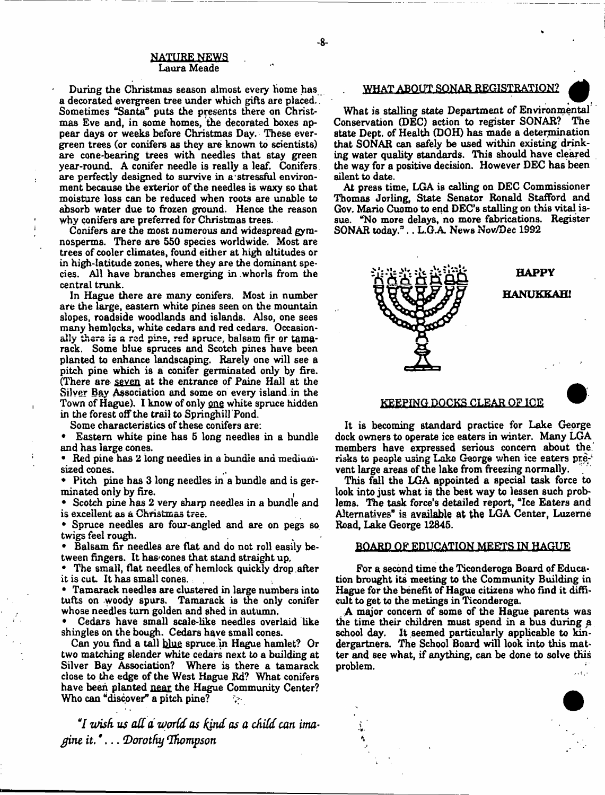#### **NATURE NEWS** Laura Meade

During the Christmas season almost every home has a decorated evergreen tree under which gifts are placed. Sometimes "Santa" puts the presents there on Christmas Eve and, in some homes, the decorated boxes appear days or weeks before Christmas Day. These evergreen trees (or conifers as they are known to scientists) are cone-bearing trees with needles that stay green year-round. A conifer needle is really a leaf. Conifers are perfectly designed to survive in a stressful environment because the exterior of the needles is waxy so that moisture loss can be reduced when roots are unable to absorb water due to frozen ground. Hence the reason why conifers are preferred for Christmas trees.

Conifers are the most numerous and widespread gyranosperms. There are 550 species worldwide. Most are trees of cooler climates, found either at high altitudes or in high-latitude zones, where they are the dominant species. All have branches emerging in .whorls from the central trunk.

In Hague there are many conifers. Most in number are the large, eastern white pines seen on the mountain slopes, roadside woodlands and islands. Also, one sees many hemlocks, white cedars and red cedars. Occasionally there is a red pine, red spruce, balsam fir or tamarack. Some blue spruces and Scotch pines have been planted to enhance landscaping. Rarely one will see a pitch pine which is a conifer germinated only by fire. (There are seven at the entrance of Paine Hall at the Silver Bay Association and some on every island in the Town of Hague). I know of only <u>one</u> white spruce hidden in the forest off the trail to Springhil! Pond.

Some characteristics of these conifers are:

\* Eastern white pine has 5 long needles in a bundle and has large cones.

Red pine has 2 long needles in a bundle and mediumsized cones.

Pitch pine has 3 long needles in a bundle and is germinated only by fire.

Scotch pine has 2 very sharp needles in a bundle and is excellent as a Christmas tree.

Spruce needles are four-angled and are on pegs so twigs feel rough.

Balsam fir needles are flat and do not roll easily between fingers. It has cones that stand straight up,

The small, flat needles of hemlock quickly drop after it is cut It has small cones.

\* Tamarack needles are clustered in large numbers into tufts on woody spurs. Tamarack is the only conifer whose needles turn golden and shed in autumn.

Cedars have small scale-like needles overlaid like shingles on the bough. Cedars have small cones.

Can you find a tall blue spruce.m Hague hamlet? Or two matching slender white cedars next to a building at Silver Bay Association? Where is there a tamarack close to the edge of the West Hague Rd? What conifers have been planted near the Hague Community Center? Who can "discover" a pitch pine?  $\mathbb{R}^n$ 

**7***wish us a d d 'World as hind as a child can ima*- *£ine it." . (Dorothy 'Thompson*

# . WHAT ABOUT SONAR REGISTRATION? *Q*

What is stalling state Department of Environmental Conservation (DEC) action to register SONAR? The state Dept, of Health (DOH) has made a determination that SONAR can safely be used within existing drinking water quality standards. This should have cleared the way for a positive decision. However DEC has been silent to date.

At press time, LGA is calling on DEC Commissioner Thomas Jorling, State Senator Ronald Stafford and Gov. Mario Cuomo to end DEC's stalling on this vital issue. "No more delays, no more fabrications. Register SONAR today,<sup>3</sup>.. L.G.A. News Nov/Dec 1992



#### **KEEPING DOCKS CLEAR OF ICE**

It is becoming standard practice for Lake George dock owners to operate ice eaters in winter. Many LGA members have expressed serious concern about the risks to people using Lake George when ice eaters prevent large areas of the lake from freezing normally.

This fall the LGA appointed a special task force to look into just what is the best way to lessen such problems. The task force's detailed report, "Ice Eaters and Alternatives" is available at the LGA Center, Luzerne Road, Lake George 12845.

#### BOARD OF EDUCATION MEETS IN HAGUE

For a second time the Ticonderoga Board of Education brought its meeting to the Community Building in Hague for the benefit of Hague citizens who find it difficult to get to the metings in Ticonderoga.

,A major concern of some of the Hague parents was the time their children must spend in a bus during a school day. It seemed particularly applicable to kindergartners. The School Board will look into this matter and see what, if anything, can be done to solve this problem.

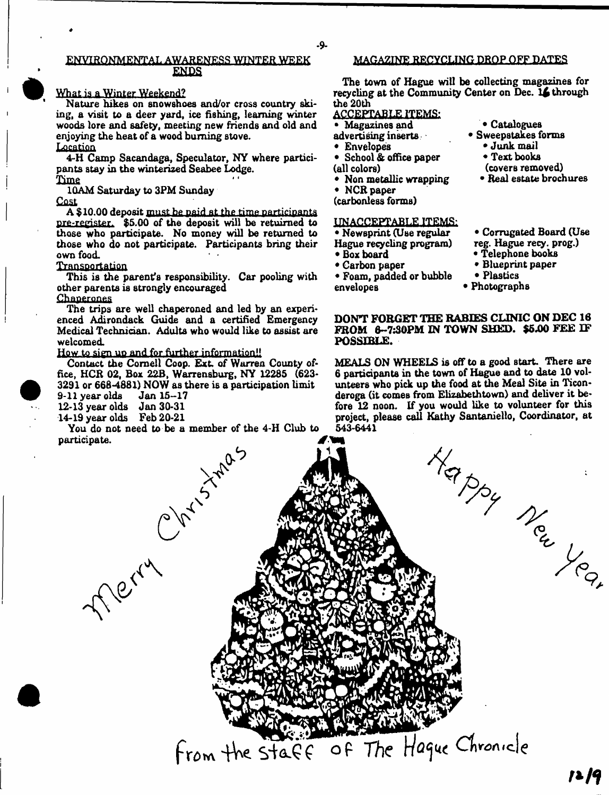# ENVIRONMENTAL AWARENESS WINTER WEEK ENDS

## What is a Winter Weekend?

Nature hikes on snowshoes and/or cross country skiing, a visit to a deer yard, ice fishing, learning winter woods lore and safety, meeting new friends and old and enjoying the heat of a wood burning stove.

**Location** 

4-H Camp Sacandaga, Speculator, NY where participants stay in the winterized Seabee Lodge.

**Time** 

10AM Saturday to 3PM Sunday

**Cost** 

A \$**10.00** deposit must be paid at the time.participants pre-register. \$5.00 of the deposit will be retuirned to those who participate. No money will be returned to those who do not participate. Participants bring their own food.

## Transportation

This is the parent's responsibility. Car pooling with other parents is strongly encouraged

**Chaperones** 

The trips are well chaperoned and led by an experienced Adirondack Guide and a certified Emergency Medical Technician. Adults who would like to assist are welcomed.

How to sign up and for further information!!

Contact the Cornell Coop. Ext. of Warren County office, HCR 02, Box 22B, Warrensburg, NY 12285 (623- 3291 or 668-4881) NOW as there is a participation limit

9-11 year olds

14-19 year olds Feb 20-21

You do not need to be a member of the 4-H Club to

# MAGAZINE RECYCLING DROP O FF DATES

The town of Hague will be collecting magazines for recycling at the Community Center on Dec. l£ through the 20th

# ACCEPTABLE. ITEMS;

- Magazines and
- advertising inserts
- Envelopes
- School & office paper
- (all colors)
- Non metallic wrapping
- NCR paper (carbonless forms)

#### UNACCEPTABLE ITEMS:

- Newsprint (Use regular
- Hague recycling program)
- Box board

envelopes

- Carbon paper • Foam, padded or bubble
- Corrugated Board (Use

• Catalogues Sweepstakes forms • Junk mail • Text books (covers removed) • Real estate brochures

- reg. Hague recy. prog.)
- Telephone books • Blueprint paper
- 
- Plastics
- Photographs

DON'T FORGET THE RABIES CLINIC ON DEC 16 FROM 6~7:30PM IN TOWN SHED. \$5.00 FEE IF POSSIBLE.

MEALS ON WHEELS is off to a good start. There are 6 participants in the town of Hague and to date 10 volunteers who pick up the food at the Meal Site in Ticonderoga (it comes from Elizabethtown) and deliver it before 12 noon. If you would like to volunteer for this 543-6441 *jfym*1